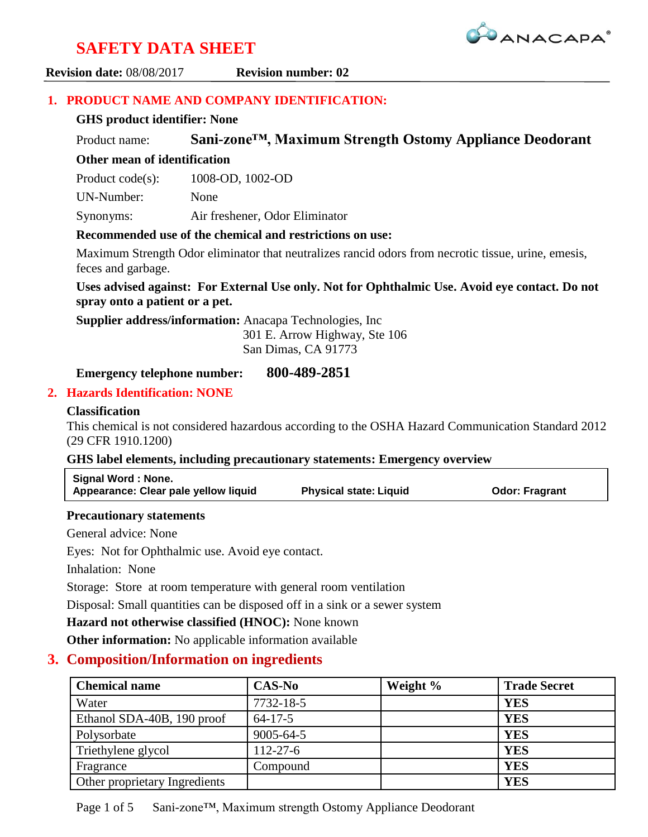

**Revision date:** 08/08/2017 **Revision number: 02**

#### **1. PRODUCT NAME AND COMPANY IDENTIFICATION:**

#### **GHS product identifier: None**

Product name: **Sani-zone™, Maximum Strength Ostomy Appliance Deodorant**

,我们就会不会不会。""我们,我们也不会不会不会。""我们,我们也不会不会不会不会不会不会。""我们,我们也不会不会不会不会。""我们,我们也不会不会不会不会不

## **Other mean of identification**

Product code(s): 1008-OD, 1002-OD

UN-Number: None

Synonyms: Air freshener, Odor Eliminator

#### **Recommended use of the chemical and restrictions on use:**

Maximum Strength Odor eliminator that neutralizes rancid odors from necrotic tissue, urine, emesis, feces and garbage.

#### **Uses advised against: For External Use only. Not for Ophthalmic Use. Avoid eye contact. Do not spray onto a patient or a pet.**

**Supplier address/information:** Anacapa Technologies, Inc

301 E. Arrow Highway, Ste 106

San Dimas, CA 91773

#### **Emergency telephone number: 800-489-2851**

#### **2. Hazards Identification: NONE**

#### **Classification**

This chemical is not considered hazardous according to the OSHA Hazard Communication Standard 2012 (29 CFR 1910.1200)

#### **GHS label elements, including precautionary statements: Emergency overview**

| Signal Word: None.                   |                               |                       |
|--------------------------------------|-------------------------------|-----------------------|
| Appearance: Clear pale yellow liquid | <b>Physical state: Liquid</b> | <b>Odor: Fragrant</b> |

#### **Precautionary statements**

General advice: None

Eyes: Not for Ophthalmic use. Avoid eye contact.

Inhalation: None

Storage: Store at room temperature with general room ventilation

Disposal: Small quantities can be disposed off in a sink or a sewer system

**Hazard not otherwise classified (HNOC):** None known

**Other information:** No applicable information available

## **3. Composition/Information on ingredients**

| <b>Chemical name</b>          | <b>CAS-No</b>   | Weight % | <b>Trade Secret</b> |
|-------------------------------|-----------------|----------|---------------------|
| Water                         | 7732-18-5       |          | <b>YES</b>          |
| Ethanol SDA-40B, 190 proof    | $64 - 17 - 5$   |          | <b>YES</b>          |
| Polysorbate                   | $9005 - 64 - 5$ |          | <b>YES</b>          |
| Triethylene glycol            | $112 - 27 - 6$  |          | <b>YES</b>          |
| Fragrance                     | Compound        |          | <b>YES</b>          |
| Other proprietary Ingredients |                 |          | <b>YES</b>          |

Page 1 of 5 Sani-zone™, Maximum strength Ostomy Appliance Deodorant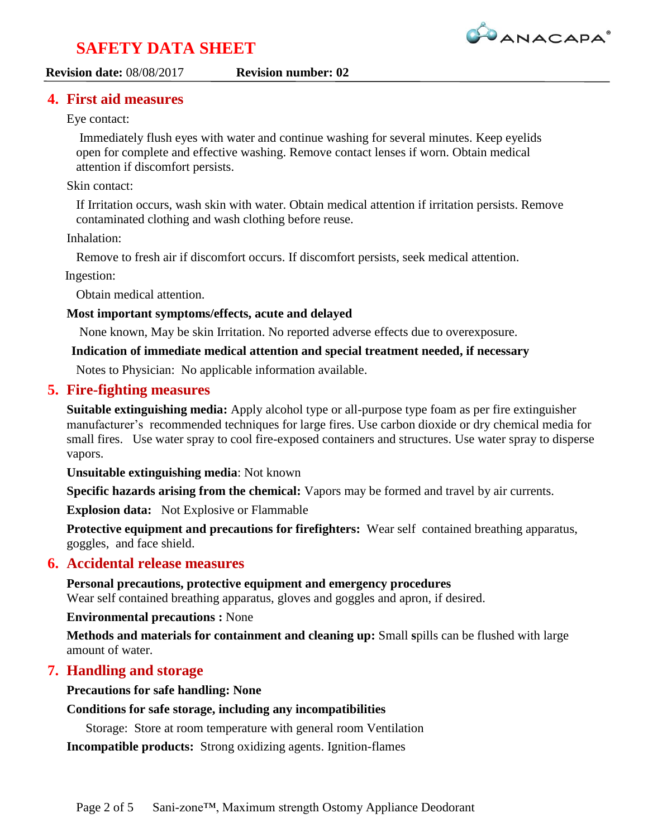

#### **Revision date:** 08/08/2017 **Revision number: 02**

#### **4. First aid measures**

#### Eye contact:

Immediately flush eyes with water and continue washing for several minutes. Keep eyelids open for complete and effective washing. Remove contact lenses if worn. Obtain medical attention if discomfort persists.

,我们就会不会不会。""我们,我们也不会不会不会。""我们,我们也不会不会不会不会不会不会。""我们,我们也不会不会不会不会。""我们,我们也不会不会不会不会不

#### Skin contact:

If Irritation occurs, wash skin with water. Obtain medical attention if irritation persists. Remove contaminated clothing and wash clothing before reuse.

#### Inhalation:

Remove to fresh air if discomfort occurs. If discomfort persists, seek medical attention.

Ingestion:

Obtain medical attention.

#### **Most important symptoms/effects, acute and delayed**

None known, May be skin Irritation. No reported adverse effects due to overexposure.

#### **Indication of immediate medical attention and special treatment needed, if necessary**

Notes to Physician: No applicable information available.

#### **5. Fire-fighting measures**

**Suitable extinguishing media:** Apply alcohol type or all-purpose type foam as per fire extinguisher manufacturer's recommended techniques for large fires. Use carbon dioxide or dry chemical media for small fires. Use water spray to cool fire-exposed containers and structures. Use water spray to disperse vapors.

**Unsuitable extinguishing media**: Not known

**Specific hazards arising from the chemical:** Vapors may be formed and travel by air currents.

**Explosion data:** Not Explosive or Flammable

**Protective equipment and precautions for firefighters:** Wear self contained breathing apparatus, goggles, and face shield.

#### **6. Accidental release measures**

**Personal precautions, protective equipment and emergency procedures** Wear self contained breathing apparatus, gloves and goggles and apron, if desired.

**Environmental precautions :** None

**Methods and materials for containment and cleaning up:** Small **s**pills can be flushed with large amount of water.

#### **7. Handling and storage**

**Precautions for safe handling: None**

#### **Conditions for safe storage, including any incompatibilities**

Storage: Store at room temperature with general room Ventilation

**Incompatible products:** Strong oxidizing agents. Ignition-flames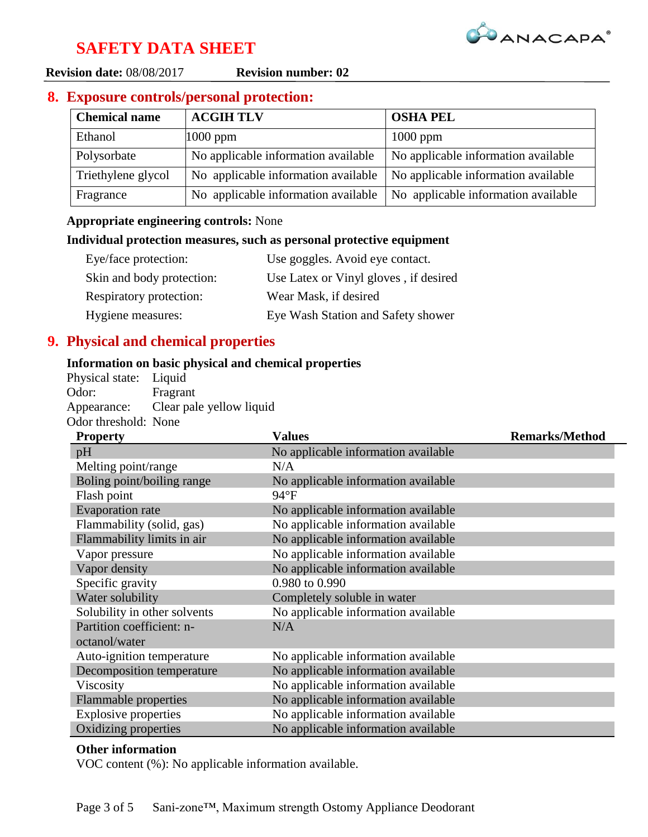

**Revision date:** 08/08/2017 **Revision number: 02**

## **8. Exposure controls/personal protection:**

| <b>Chemical name</b> | <b>ACGIH TLV</b>                    | <b>OSHA PEL</b>                     |
|----------------------|-------------------------------------|-------------------------------------|
| Ethanol              | $1000$ ppm                          | $1000$ ppm                          |
| Polysorbate          | No applicable information available | No applicable information available |
| Triethylene glycol   | No applicable information available | No applicable information available |
| Fragrance            | No applicable information available | No applicable information available |

,我们就会不会不会。""我们,我们也不会不会不会。""我们,我们也不会不会不会不会不会不会。""我们,我们也不会不会不会不会。""我们,我们也不会不会不会不会不

#### **Appropriate engineering controls:** None

#### **Individual protection measures, such as personal protective equipment**

| Eye/face protection:      | Use goggles. Avoid eye contact.       |
|---------------------------|---------------------------------------|
| Skin and body protection: | Use Latex or Vinyl gloves, if desired |
| Respiratory protection:   | Wear Mask, if desired                 |
| Hygiene measures:         | Eye Wash Station and Safety shower    |

## **9. Physical and chemical properties**

#### **Information on basic physical and chemical properties**

Physical state: Liquid Odor: Fragrant Appearance: Clear pale yellow liquid Odor threshold: None

| <b>Property</b>              | <b>Values</b>                       | <b>Remarks/Method</b> |
|------------------------------|-------------------------------------|-----------------------|
| pH                           | No applicable information available |                       |
| Melting point/range          | N/A                                 |                       |
| Boling point/boiling range   | No applicable information available |                       |
| Flash point                  | $94^{\circ}F$                       |                       |
| <b>Evaporation</b> rate      | No applicable information available |                       |
| Flammability (solid, gas)    | No applicable information available |                       |
| Flammability limits in air   | No applicable information available |                       |
| Vapor pressure               | No applicable information available |                       |
| Vapor density                | No applicable information available |                       |
| Specific gravity             | 0.980 to 0.990                      |                       |
| Water solubility             | Completely soluble in water         |                       |
| Solubility in other solvents | No applicable information available |                       |
| Partition coefficient: n-    | N/A                                 |                       |
| octanol/water                |                                     |                       |
| Auto-ignition temperature    | No applicable information available |                       |
| Decomposition temperature    | No applicable information available |                       |
| Viscosity                    | No applicable information available |                       |
| Flammable properties         | No applicable information available |                       |
| <b>Explosive properties</b>  | No applicable information available |                       |
| Oxidizing properties         | No applicable information available |                       |

#### **Other information**

VOC content (%): No applicable information available.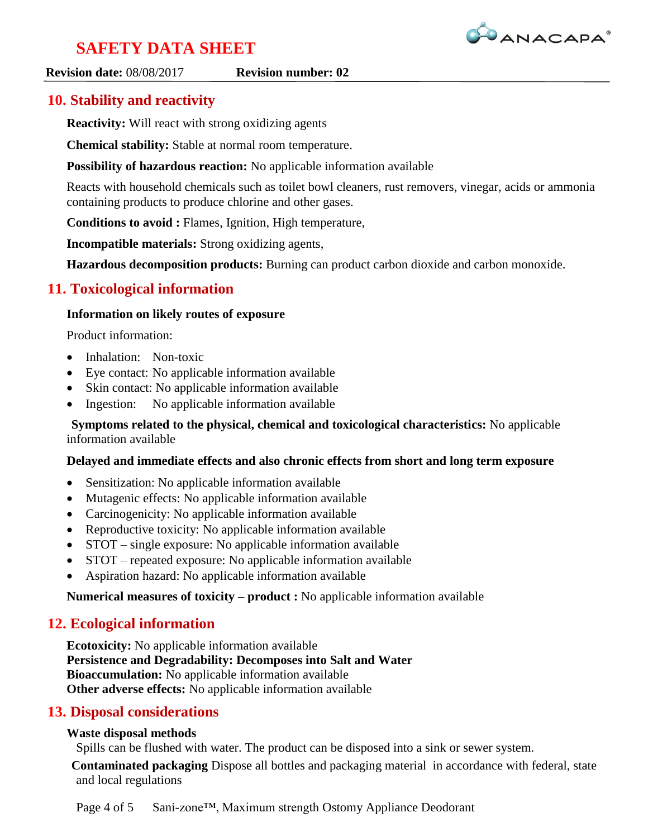

#### **Revision date:** 08/08/2017 **Revision number: 02**

## ,我们就会不会不会。""我们,我们也不会不会不会。""我们,我们也不会不会不会不会不会不会。""我们,我们也不会不会不会不会。""我们,我们也不会不会不会不会不

## **10. Stability and reactivity**

**Reactivity:** Will react with strong oxidizing agents

**Chemical stability:** Stable at normal room temperature.

**Possibility of hazardous reaction:** No applicable information available

Reacts with household chemicals such as toilet bowl cleaners, rust removers, vinegar, acids or ammonia containing products to produce chlorine and other gases.

**Conditions to avoid :** Flames, Ignition, High temperature,

**Incompatible materials:** Strong oxidizing agents,

**Hazardous decomposition products:** Burning can product carbon dioxide and carbon monoxide.

## **11. Toxicological information**

## **Information on likely routes of exposure**

Product information:

- Inhalation: Non-toxic
- Eye contact: No applicable information available
- Skin contact: No applicable information available
- Ingestion: No applicable information available

**Symptoms related to the physical, chemical and toxicological characteristics:** No applicable information available

#### **Delayed and immediate effects and also chronic effects from short and long term exposure**

- Sensitization: No applicable information available
- Mutagenic effects: No applicable information available
- Carcinogenicity: No applicable information available
- Reproductive toxicity: No applicable information available
- STOT single exposure: No applicable information available
- STOT repeated exposure: No applicable information available
- Aspiration hazard: No applicable information available

**Numerical measures of toxicity – product :** No applicable information available

## **12. Ecological information**

**Ecotoxicity:** No applicable information available **Persistence and Degradability: Decomposes into Salt and Water Bioaccumulation:** No applicable information available **Other adverse effects:** No applicable information available

## **13. Disposal considerations**

#### **Waste disposal methods**

Spills can be flushed with water. The product can be disposed into a sink or sewer system.

**Contaminated packaging** Dispose all bottles and packaging material in accordance with federal, state and local regulations